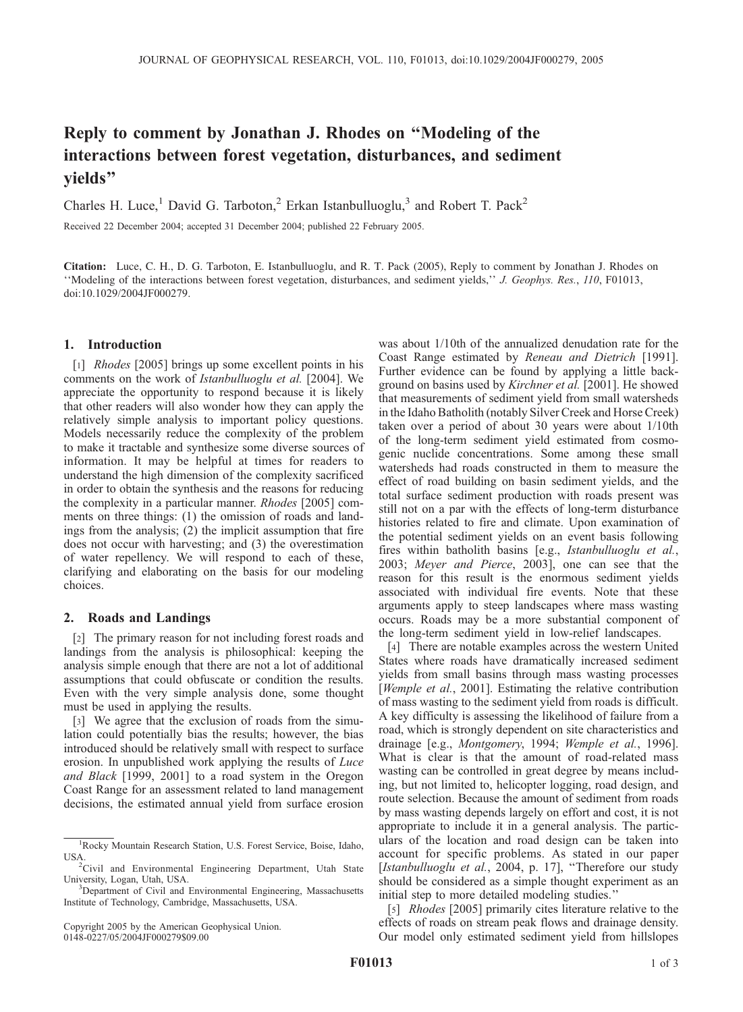# Reply to comment by Jonathan J. Rhodes on ''Modeling of the interactions between forest vegetation, disturbances, and sediment yields''

Charles H. Luce,<sup>1</sup> David G. Tarboton,<sup>2</sup> Erkan Istanbulluoglu,<sup>3</sup> and Robert T. Pack<sup>2</sup>

Received 22 December 2004; accepted 31 December 2004; published 22 February 2005.

Citation: Luce, C. H., D. G. Tarboton, E. Istanbulluoglu, and R. T. Pack (2005), Reply to comment by Jonathan J. Rhodes on ''Modeling of the interactions between forest vegetation, disturbances, and sediment yields,'' J. Geophys. Res., 110, F01013, doi:10.1029/2004JF000279.

#### 1. Introduction

[1] *Rhodes* [2005] brings up some excellent points in his comments on the work of Istanbulluoglu et al. [2004]. We appreciate the opportunity to respond because it is likely that other readers will also wonder how they can apply the relatively simple analysis to important policy questions. Models necessarily reduce the complexity of the problem to make it tractable and synthesize some diverse sources of information. It may be helpful at times for readers to understand the high dimension of the complexity sacrificed in order to obtain the synthesis and the reasons for reducing the complexity in a particular manner. Rhodes [2005] comments on three things: (1) the omission of roads and landings from the analysis; (2) the implicit assumption that fire does not occur with harvesting; and (3) the overestimation of water repellency. We will respond to each of these, clarifying and elaborating on the basis for our modeling choices.

## 2. Roads and Landings

[2] The primary reason for not including forest roads and landings from the analysis is philosophical: keeping the analysis simple enough that there are not a lot of additional assumptions that could obfuscate or condition the results. Even with the very simple analysis done, some thought must be used in applying the results.

[3] We agree that the exclusion of roads from the simulation could potentially bias the results; however, the bias introduced should be relatively small with respect to surface erosion. In unpublished work applying the results of Luce and Black [1999, 2001] to a road system in the Oregon Coast Range for an assessment related to land management decisions, the estimated annual yield from surface erosion

was about 1/10th of the annualized denudation rate for the Coast Range estimated by Reneau and Dietrich [1991]. Further evidence can be found by applying a little background on basins used by Kirchner et al. [2001]. He showed that measurements of sediment yield from small watersheds in the Idaho Batholith (notably Silver Creek and Horse Creek) taken over a period of about 30 years were about 1/10th of the long-term sediment yield estimated from cosmogenic nuclide concentrations. Some among these small watersheds had roads constructed in them to measure the effect of road building on basin sediment yields, and the total surface sediment production with roads present was still not on a par with the effects of long-term disturbance histories related to fire and climate. Upon examination of the potential sediment yields on an event basis following fires within batholith basins [e.g., Istanbulluoglu et al., 2003; Meyer and Pierce, 2003], one can see that the reason for this result is the enormous sediment yields associated with individual fire events. Note that these arguments apply to steep landscapes where mass wasting occurs. Roads may be a more substantial component of the long-term sediment yield in low-relief landscapes.

[4] There are notable examples across the western United States where roads have dramatically increased sediment yields from small basins through mass wasting processes [*Wemple et al.*, 2001]. Estimating the relative contribution of mass wasting to the sediment yield from roads is difficult. A key difficulty is assessing the likelihood of failure from a road, which is strongly dependent on site characteristics and drainage [e.g., Montgomery, 1994; Wemple et al., 1996]. What is clear is that the amount of road-related mass wasting can be controlled in great degree by means including, but not limited to, helicopter logging, road design, and route selection. Because the amount of sediment from roads by mass wasting depends largely on effort and cost, it is not appropriate to include it in a general analysis. The particulars of the location and road design can be taken into account for specific problems. As stated in our paper [Istanbulluoglu et al., 2004, p. 17], "Therefore our study should be considered as a simple thought experiment as an initial step to more detailed modeling studies.''

[5] *Rhodes* [2005] primarily cites literature relative to the effects of roads on stream peak flows and drainage density. Our model only estimated sediment yield from hillslopes

<sup>&</sup>lt;sup>1</sup>Rocky Mountain Research Station, U.S. Forest Service, Boise, Idaho, USA.

 ${}^{2}$ Civil and Environmental Engineering Department, Utah State University, Logan, Utah, USA. <sup>3</sup>

 $3$ Department of Civil and Environmental Engineering, Massachusetts Institute of Technology, Cambridge, Massachusetts, USA.

Copyright 2005 by the American Geophysical Union. 0148-0227/05/2004JF000279\$09.00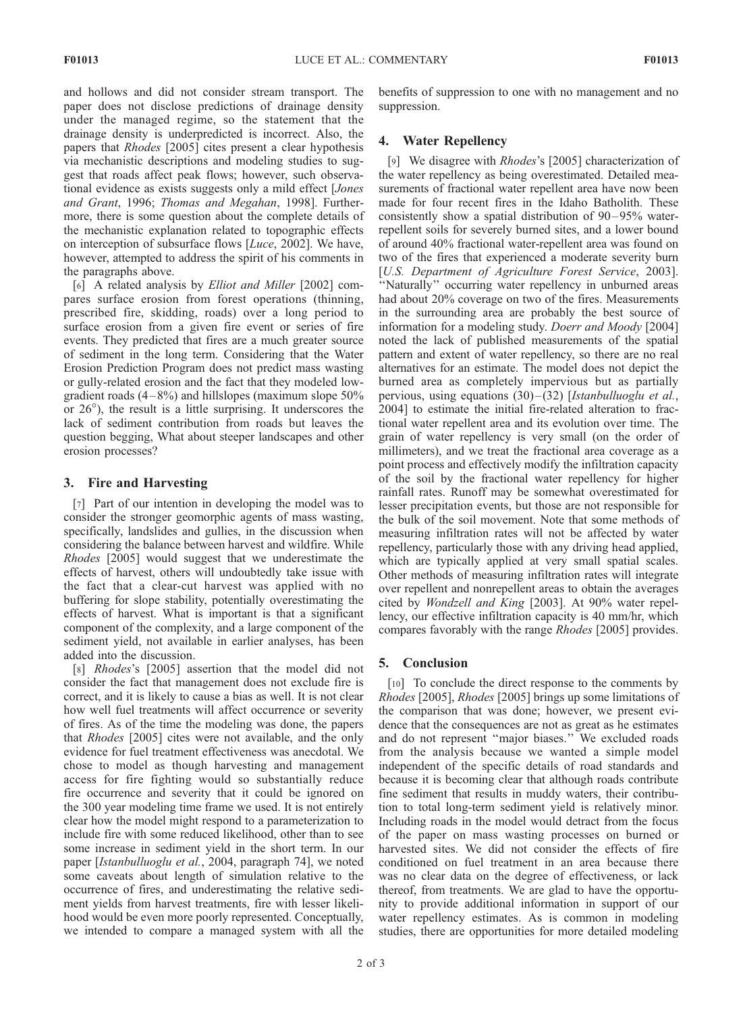and hollows and did not consider stream transport. The paper does not disclose predictions of drainage density under the managed regime, so the statement that the drainage density is underpredicted is incorrect. Also, the papers that Rhodes [2005] cites present a clear hypothesis via mechanistic descriptions and modeling studies to suggest that roads affect peak flows; however, such observational evidence as exists suggests only a mild effect [Jones and Grant, 1996; Thomas and Megahan, 1998]. Furthermore, there is some question about the complete details of the mechanistic explanation related to topographic effects on interception of subsurface flows [Luce, 2002]. We have, however, attempted to address the spirit of his comments in the paragraphs above.

[6] A related analysis by Elliot and Miller [2002] compares surface erosion from forest operations (thinning, prescribed fire, skidding, roads) over a long period to surface erosion from a given fire event or series of fire events. They predicted that fires are a much greater source of sediment in the long term. Considering that the Water Erosion Prediction Program does not predict mass wasting or gully-related erosion and the fact that they modeled lowgradient roads  $(4-8\%)$  and hillslopes (maximum slope 50%) or  $26^{\circ}$ ), the result is a little surprising. It underscores the lack of sediment contribution from roads but leaves the question begging, What about steeper landscapes and other erosion processes?

#### 3. Fire and Harvesting

[7] Part of our intention in developing the model was to consider the stronger geomorphic agents of mass wasting, specifically, landslides and gullies, in the discussion when considering the balance between harvest and wildfire. While Rhodes [2005] would suggest that we underestimate the effects of harvest, others will undoubtedly take issue with the fact that a clear-cut harvest was applied with no buffering for slope stability, potentially overestimating the effects of harvest. What is important is that a significant component of the complexity, and a large component of the sediment yield, not available in earlier analyses, has been added into the discussion.

[8] Rhodes's [2005] assertion that the model did not consider the fact that management does not exclude fire is correct, and it is likely to cause a bias as well. It is not clear how well fuel treatments will affect occurrence or severity of fires. As of the time the modeling was done, the papers that Rhodes [2005] cites were not available, and the only evidence for fuel treatment effectiveness was anecdotal. We chose to model as though harvesting and management access for fire fighting would so substantially reduce fire occurrence and severity that it could be ignored on the 300 year modeling time frame we used. It is not entirely clear how the model might respond to a parameterization to include fire with some reduced likelihood, other than to see some increase in sediment yield in the short term. In our paper [Istanbulluoglu et al., 2004, paragraph 74], we noted some caveats about length of simulation relative to the occurrence of fires, and underestimating the relative sediment yields from harvest treatments, fire with lesser likelihood would be even more poorly represented. Conceptually, we intended to compare a managed system with all the

benefits of suppression to one with no management and no suppression.

## 4. Water Repellency

[9] We disagree with *Rhodes's* [2005] characterization of the water repellency as being overestimated. Detailed measurements of fractional water repellent area have now been made for four recent fires in the Idaho Batholith. These consistently show a spatial distribution of 90-95% waterrepellent soils for severely burned sites, and a lower bound of around 40% fractional water-repellent area was found on two of the fires that experienced a moderate severity burn [U.S. Department of Agriculture Forest Service, 2003]. ''Naturally'' occurring water repellency in unburned areas had about 20% coverage on two of the fires. Measurements in the surrounding area are probably the best source of information for a modeling study. Doerr and Moody [2004] noted the lack of published measurements of the spatial pattern and extent of water repellency, so there are no real alternatives for an estimate. The model does not depict the burned area as completely impervious but as partially pervious, using equations  $(30)$ – $(32)$  [Istanbulluoglu et al., 2004] to estimate the initial fire-related alteration to fractional water repellent area and its evolution over time. The grain of water repellency is very small (on the order of millimeters), and we treat the fractional area coverage as a point process and effectively modify the infiltration capacity of the soil by the fractional water repellency for higher rainfall rates. Runoff may be somewhat overestimated for lesser precipitation events, but those are not responsible for the bulk of the soil movement. Note that some methods of measuring infiltration rates will not be affected by water repellency, particularly those with any driving head applied, which are typically applied at very small spatial scales. Other methods of measuring infiltration rates will integrate over repellent and nonrepellent areas to obtain the averages cited by Wondzell and King [2003]. At 90% water repellency, our effective infiltration capacity is 40 mm/hr, which compares favorably with the range Rhodes [2005] provides.

## 5. Conclusion

[10] To conclude the direct response to the comments by Rhodes [2005], Rhodes [2005] brings up some limitations of the comparison that was done; however, we present evidence that the consequences are not as great as he estimates and do not represent ''major biases.'' We excluded roads from the analysis because we wanted a simple model independent of the specific details of road standards and because it is becoming clear that although roads contribute fine sediment that results in muddy waters, their contribution to total long-term sediment yield is relatively minor. Including roads in the model would detract from the focus of the paper on mass wasting processes on burned or harvested sites. We did not consider the effects of fire conditioned on fuel treatment in an area because there was no clear data on the degree of effectiveness, or lack thereof, from treatments. We are glad to have the opportunity to provide additional information in support of our water repellency estimates. As is common in modeling studies, there are opportunities for more detailed modeling